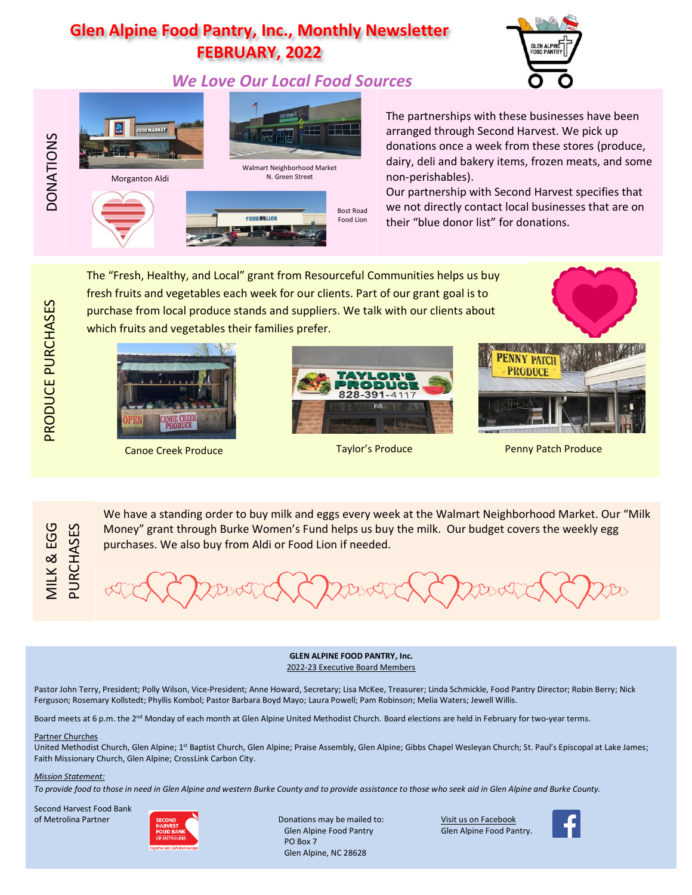# **Glen Alpine Food Pantry, Inc., Monthly Newsletter FEBRUARY, 2022**

# *We Love Our Local Food Sources*





The partnerships with these businesses have been arranged through Second Harvest. We pick up donations once a week from these stores (produce, dairy, deli and bakery items, frozen meats, and some non-perishables).

Our partnership with Second Harvest specifies that we not directly contact local businesses that are on their "blue donor list" for donations.

The "Fresh, Healthy, and Local" grant from Resourceful Communities helps us buy fresh fruits and vegetables each week for our clients. Part of our grant goal is to purchase from local produce stands and suppliers. We talk with our clients about which fruits and vegetables their families prefer.





We have a standing order to buy milk and eggs every week at the Walmart Neighborhood Market. Our "Milk Money" grant through Burke Women's Fund helps us buy the milk. Our budget covers the weekly egg





Canoe Creek Produce Taylor's Produce Penny Patch Produce

MILK & EGG VILK & EGG PURCHASES

DONATIONS

PRODUCE PURCHASES

PRODUCE PURCHASES

purchases. We also buy from Aldi or Food Lion if needed.

**GLEN ALPINE FOOD PANTRY, Inc.** 2022-23 Executive Board Members

Pastor John Terry, President; Polly Wilson, Vice-President; Anne Howard, Secretary; Lisa McKee, Treasurer; Linda Schmickle, Food Pantry Director; Robin Berry; Nick Ferguson; Rosemary Kollstedt; Phyllis Kombol; Pastor Barbara Boyd Mayo; Laura Powell; Pam Robinson; Melia Waters; Jewell Willis.

Board meets at 6 p.m. the 2<sup>nd</sup> Monday of each month at Glen Alpine United Methodist Church. Board elections are held in February for two-year terms.

#### Partner Churches

United Methodist Church, Glen Alpine; 1<sup>st</sup> Baptist Church, Glen Alpine; Praise Assembly, Glen Alpine; Gibbs Chapel Wesleyan Church; St. Paul's Episcopal at Lake James; Faith Missionary Church, Glen Alpine; CrossLink Carbon City.

#### *Mission Statement:*

*To provide food to those in need in Glen Alpine and western Burke County and to provide assistance to those who seek aid in Glen Alpine and Burke County.*

Second Harvest Food Bank of Metrolina Partner **Difference** Strong Conations may be mailed to: Visit us on Facebook



Glen Alpine Food Pantry Glen Alpine Food Pantry. PO Box 7 Glen Alpine, NC 28628